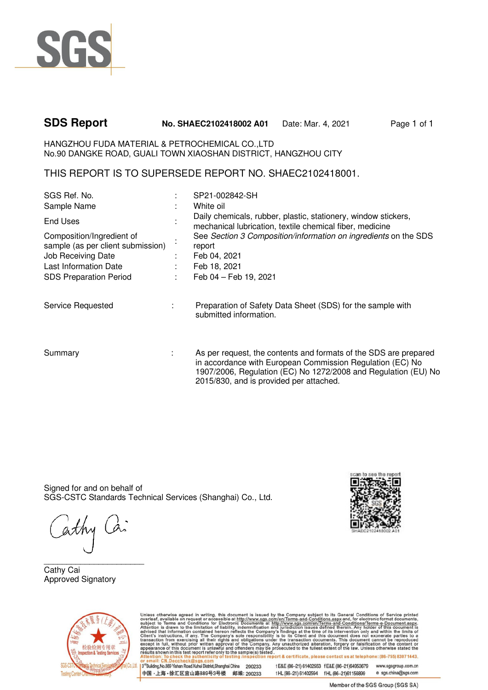

# **SDS Report No. SHAEC2102418002 A01** Date: Mar. 4, 2021 Page 1 of 1

HANGZHOU FUDA MATERIAL & PETROCHEMICAL CO.,LTD No.90 DANGKE ROAD, GUALI TOWN XIAOSHAN DISTRICT, HANGZHOU CITY

THIS REPORT IS TO SUPERSEDE REPORT NO. SHAEC2102418001.

| SGS Ref. No.                                                                                                                                   |                                            | SP21-002842-SH                                                                                                                                                                                                                             |
|------------------------------------------------------------------------------------------------------------------------------------------------|--------------------------------------------|--------------------------------------------------------------------------------------------------------------------------------------------------------------------------------------------------------------------------------------------|
| Sample Name                                                                                                                                    |                                            | White oil                                                                                                                                                                                                                                  |
| <b>End Uses</b>                                                                                                                                |                                            | Daily chemicals, rubber, plastic, stationery, window stickers,<br>mechanical lubrication, textile chemical fiber, medicine                                                                                                                 |
| Composition/Ingredient of<br>sample (as per client submission)<br>Job Receiving Date<br>Last Information Date<br><b>SDS Preparation Period</b> | $\mathcal{L}_{\rm{max}}$<br><b>College</b> | See Section 3 Composition/information on ingredients on the SDS<br>report<br>Feb 04, 2021<br>Feb 18, 2021<br>Feb 04 - Feb 19, 2021                                                                                                         |
| Service Requested                                                                                                                              |                                            | Preparation of Safety Data Sheet (SDS) for the sample with<br>submitted information.                                                                                                                                                       |
| Summary                                                                                                                                        |                                            | As per request, the contents and formats of the SDS are prepared<br>in accordance with European Commission Regulation (EC) No<br>1907/2006, Regulation (EC) No 1272/2008 and Regulation (EU) No<br>2015/830, and is provided per attached. |

Signed for and on behalf of SGS-CSTC Standards Technical Services (Shanghai) Co., Ltd.

 $\overline{\phantom{a}}$  , where  $\overline{\phantom{a}}$  , where  $\overline{\phantom{a}}$  , where  $\overline{\phantom{a}}$ Cathy Cai Approved Signatory





Unless otherwise agreed in writing, this document is issued by the Company subject to its General Conditions of Service printed<br>subject to Terms and Conditions for Electronic Decorations at the *Service same discussions* n report & certificate, please contact us at telephone: (86-755) 8307 1443

13rd Building, No.889 Yishan Road Xuhui District, Shanghai China 200233 中国·上海·徐汇区宜山路889号3号楼 邮编: 200233

t E&E (86-21) 61402553 f E&E (86-21)64953679 www.sgsgroup.com.cn tHL (86-21) 61402594 fHL (86-21) 61156899 e sgs.china@sgs.com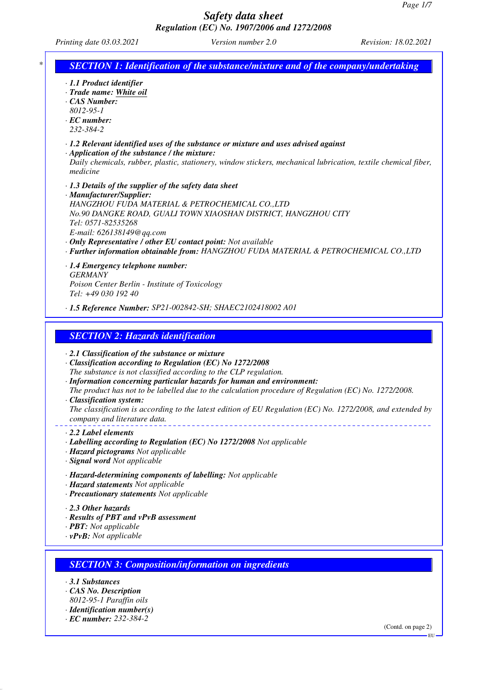$-EU$  –

## *Safety data sheet Regulation (EC) No. 1907/2006 and 1272/2008*

*Printing date 03.03.2021 Version number 2.0 Revision: 18.02.2021*

| * | <b>SECTION 1: Identification of the substance/mixture and of the company/undertaking</b>                                                                                                                                                                                                                                                                                                                                                                                                                                                              |
|---|-------------------------------------------------------------------------------------------------------------------------------------------------------------------------------------------------------------------------------------------------------------------------------------------------------------------------------------------------------------------------------------------------------------------------------------------------------------------------------------------------------------------------------------------------------|
|   | · 1.1 Product identifier<br>· Trade name: White oil<br>$\cdot$ CAS Number:<br>8012-95-1<br>$\cdot$ EC number:<br>232-384-2                                                                                                                                                                                                                                                                                                                                                                                                                            |
|   | $\cdot$ 1.2 Relevant identified uses of the substance or mixture and uses advised against<br>· Application of the substance / the mixture:<br>Daily chemicals, rubber, plastic, stationery, window stickers, mechanical lubrication, textile chemical fiber,<br>medicine                                                                                                                                                                                                                                                                              |
|   | · 1.3 Details of the supplier of the safety data sheet<br>· Manufacturer/Supplier:<br>HANGZHOU FUDA MATERIAL & PETROCHEMICAL CO.,LTD<br>No.90 DANGKE ROAD, GUALI TOWN XIAOSHAN DISTRICT, HANGZHOU CITY<br>Tel: 0571-82535268<br>E-mail: 626138149@qq.com<br>· Only Representative / other EU contact point: Not available<br>· Further information obtainable from: HANGZHOU FUDA MATERIAL & PETROCHEMICAL CO.,LTD                                                                                                                                    |
|   | · 1.4 Emergency telephone number:<br><b>GERMANY</b><br>Poison Center Berlin - Institute of Toxicology<br>Tel: +49 030 192 40<br>· 1.5 Reference Number: SP21-002842-SH; SHAEC2102418002 A01                                                                                                                                                                                                                                                                                                                                                           |
|   | <b>SECTION 2: Hazards identification</b>                                                                                                                                                                                                                                                                                                                                                                                                                                                                                                              |
|   | $\cdot$ 2.1 Classification of the substance or mixture<br>· Classification according to Regulation (EC) No 1272/2008<br>The substance is not classified according to the CLP regulation.<br>· Information concerning particular hazards for human and environment:<br>The product has not to be labelled due to the calculation procedure of Regulation (EC) No. 1272/2008.<br>· Classification system:<br>The classification is according to the latest edition of EU Regulation (EC) No. 1272/2008, and extended by<br>company and literature data. |
|   | 2.2 Label elements<br>· Labelling according to Regulation (EC) No 1272/2008 Not applicable<br>· Hazard pictograms Not applicable<br>· Signal word Not applicable                                                                                                                                                                                                                                                                                                                                                                                      |
|   | · Hazard-determining components of labelling: Not applicable<br>· Hazard statements Not applicable<br>· Precautionary statements Not applicable                                                                                                                                                                                                                                                                                                                                                                                                       |
|   | 2.3 Other hazards<br>· Results of PBT and vPvB assessment<br>· <b>PBT</b> : Not applicable<br>$\cdot v$ PvB: Not applicable                                                                                                                                                                                                                                                                                                                                                                                                                           |
|   | <b>SECTION 3: Composition/information on ingredients</b>                                                                                                                                                                                                                                                                                                                                                                                                                                                                                              |
|   |                                                                                                                                                                                                                                                                                                                                                                                                                                                                                                                                                       |
|   | $\cdot$ 3.1 Substances<br>· CAS No. Description<br>8012-95-1 Paraffin oils<br>$\cdot$ Identification number(s)<br>$\cdot$ EC number: 232-384-2                                                                                                                                                                                                                                                                                                                                                                                                        |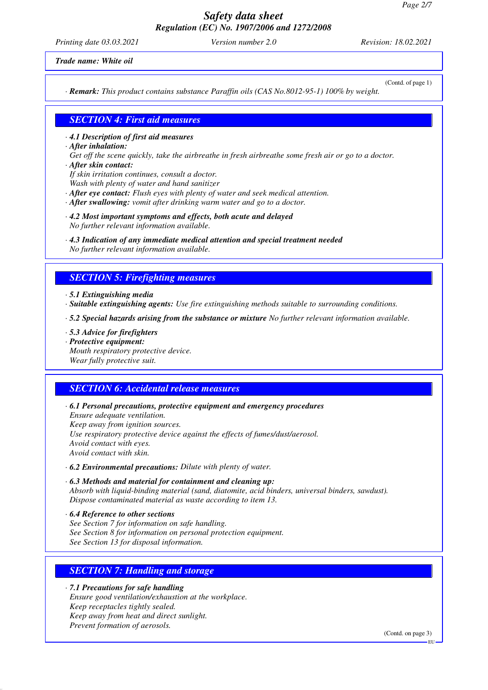*Printing date 03.03.2021 Version number 2.0 Revision: 18.02.2021*

(Contd. of page 1)

*Trade name: White oil*

*· Remark: This product contains substance Paraffin oils (CAS No.8012-95-1) 100% by weight.*

#### *SECTION 4: First aid measures*

*· 4.1 Description of first aid measures*

- *· After inhalation:*
- *Get off the scene quickly, take the airbreathe in fresh airbreathe some fresh air or go to a doctor. · After skin contact:*
- *If skin irritation continues, consult a doctor.*

*Wash with plenty of water and hand sanitizer*

- *· After eye contact: Flush eyes with plenty of water and seek medical attention.*
- *· After swallowing: vomit after drinking warm water and go to a doctor.*
- *· 4.2 Most important symptoms and effects, both acute and delayed No further relevant information available.*
- *· 4.3 Indication of any immediate medical attention and special treatment needed No further relevant information available.*

### *SECTION 5: Firefighting measures*

*· 5.1 Extinguishing media*

*· Suitable extinguishing agents: Use fire extinguishing methods suitable to surrounding conditions.*

*· 5.2 Special hazards arising from the substance or mixture No further relevant information available.*

- *· 5.3 Advice for firefighters*
- *· Protective equipment:*
- *Mouth respiratory protective device.*

*Wear fully protective suit.*

#### *SECTION 6: Accidental release measures*

*· 6.1 Personal precautions, protective equipment and emergency procedures*

*Ensure adequate ventilation. Keep away from ignition sources. Use respiratory protective device against the effects of fumes/dust/aerosol. Avoid contact with eyes. Avoid contact with skin.*

- *· 6.2 Environmental precautions: Dilute with plenty of water.*
- *· 6.3 Methods and material for containment and cleaning up: Absorb with liquid-binding material (sand, diatomite, acid binders, universal binders, sawdust). Dispose contaminated material as waste according to item 13.*
- *· 6.4 Reference to other sections See Section 7 for information on safe handling. See Section 8 for information on personal protection equipment. See Section 13 for disposal information.*

### *SECTION 7: Handling and storage*

*· 7.1 Precautions for safe handling Ensure good ventilation/exhaustion at the workplace. Keep receptacles tightly sealed. Keep away from heat and direct sunlight. Prevent formation of aerosols.*

(Contd. on page 3)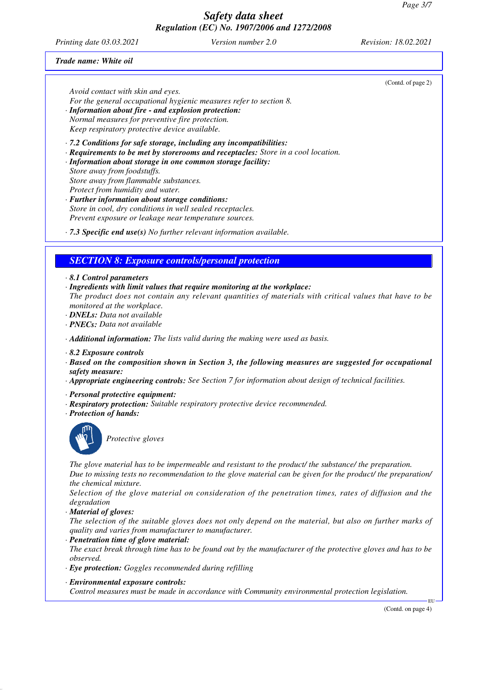*Printing date 03.03.2021 Version number 2.0 Revision: 18.02.2021*

(Contd. of page 2)

#### *Trade name: White oil*

*Avoid contact with skin and eyes.*

- *For the general occupational hygienic measures refer to section 8.*
- *· Information about fire and explosion protection: Normal measures for preventive fire protection.*

*Keep respiratory protective device available.*

*· 7.2 Conditions for safe storage, including any incompatibilities:*

- *· Requirements to be met by storerooms and receptacles: Store in a cool location.*
- *· Information about storage in one common storage facility: Store away from foodstuffs. Store away from flammable substances. Protect from humidity and water.*
- *· Further information about storage conditions: Store in cool, dry conditions in well sealed receptacles. Prevent exposure or leakage near temperature sources.*
- *· 7.3 Specific end use(s) No further relevant information available.*

### *SECTION 8: Exposure controls/personal protection*

- *· 8.1 Control parameters*
- *· Ingredients with limit values that require monitoring at the workplace:*
- *The product does not contain any relevant quantities of materials with critical values that have to be monitored at the workplace.*
- *· DNELs: Data not available*
- *· PNECs: Data not available*
- *· Additional information: The lists valid during the making were used as basis.*
- *· 8.2 Exposure controls*
- *· Based on the composition shown in Section 3, the following measures are suggested for occupational safety measure:*
- *· Appropriate engineering controls: See Section 7 for information about design of technical facilities.*
- *· Personal protective equipment:*
- *· Respiratory protection: Suitable respiratory protective device recommended.*
- *· Protection of hands:*



*Protective gloves*

*The glove material has to be impermeable and resistant to the product/ the substance/ the preparation. Due to missing tests no recommendation to the glove material can be given for the product/ the preparation/ the chemical mixture.*

*Selection of the glove material on consideration of the penetration times, rates of diffusion and the degradation*

*· Material of gloves:*

*The selection of the suitable gloves does not only depend on the material, but also on further marks of quality and varies from manufacturer to manufacturer.*

*· Penetration time of glove material:*

*The exact break through time has to be found out by the manufacturer of the protective gloves and has to be observed.*

- *· Eye protection: Goggles recommended during refilling*
- *· Environmental exposure controls:*

*Control measures must be made in accordance with Community environmental protection legislation.*

(Contd. on page 4)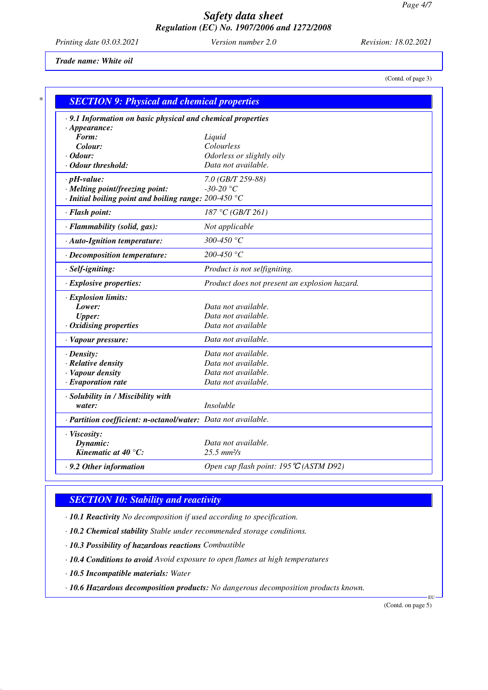*Printing date 03.03.2021 Version number 2.0 Revision: 18.02.2021*

(Contd. of page 3)

*Trade name: White oil*

*\* SECTION 9: Physical and chemical properties · 9.1 Information on basic physical and chemical properties · Appearance: Form: Liquid Colour: Colourless · Odour: Odorless or slightly oily · Odour threshold: Data not available. · pH-value: 7.0 (GB/T 259-88) · Melting point/freezing point: -30-20 °C · Initial boiling point and boiling range: 200-450 °C · Flash point: 187 °C (GB/T 261) · Flammability (solid, gas): Not applicable · Auto-Ignition temperature: 300-450 °C · Decomposition temperature: 200-450 °C · Self-igniting: Product is not selfigniting. · Explosive properties: Product does not present an explosion hazard. · Explosion limits: Lower: Data not available. Upper: Data not available. · Oxidising properties Data not available · Vapour pressure: Data not available. · Density: Data not available. · Relative density Data not available. · Vapour density Data not available. · Evaporation rate Data not available. · Solubility in / Miscibility with water: Insoluble · Partition coefficient: n-octanol/water: Data not available. · Viscosity: Dynamic: Data not available. Kinematic at 40 °C: 25.5 mm²/s · 9.2 Other information Open cup flash point: 195*ഒ *(ASTM D92)*

### *SECTION 10: Stability and reactivity*

*· 10.1 Reactivity No decomposition if used according to specification.*

*· 10.2 Chemical stability Stable under recommended storage conditions.*

*· 10.3 Possibility of hazardous reactions Combustible*

*· 10.4 Conditions to avoid Avoid exposure to open flames at high temperatures*

*· 10.5 Incompatible materials: Water*

*· 10.6 Hazardous decomposition products: No dangerous decomposition products known.*

(Contd. on page 5)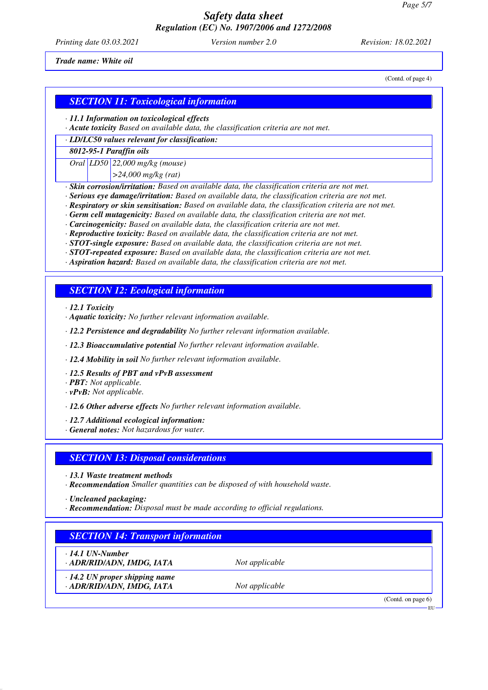*Printing date 03.03.2021 Version number 2.0 Revision: 18.02.2021*

(Contd. of page 4)

*Trade name: White oil*

### *SECTION 11: Toxicological information*

*· 11.1 Information on toxicological effects*

*· Acute toxicity Based on available data, the classification criteria are not met.*

*· LD/LC50 values relevant for classification:*

*8012-95-1 Paraffin oils*

*Oral LD50 22,000 mg/kg (mouse)*

*>24,000 mg/kg (rat)*

*· Skin corrosion/irritation: Based on available data, the classification criteria are not met.*

*· Serious eye damage/irritation: Based on available data, the classification criteria are not met.*

*· Respiratory or skin sensitisation: Based on available data, the classification criteria are not met.*

*· Germ cell mutagenicity: Based on available data, the classification criteria are not met.*

*· Carcinogenicity: Based on available data, the classification criteria are not met.*

*· Reproductive toxicity: Based on available data, the classification criteria are not met.*

*· STOT-single exposure: Based on available data, the classification criteria are not met.*

*· STOT-repeated exposure: Based on available data, the classification criteria are not met.*

*· Aspiration hazard: Based on available data, the classification criteria are not met.*

### *SECTION 12: Ecological information*

*· 12.1 Toxicity*

*· Aquatic toxicity: No further relevant information available.*

*· 12.2 Persistence and degradability No further relevant information available.*

*· 12.3 Bioaccumulative potential No further relevant information available.*

*· 12.4 Mobility in soil No further relevant information available.*

*· 12.5 Results of PBT and vPvB assessment*

*· PBT: Not applicable.*

*· vPvB: Not applicable.*

*· 12.6 Other adverse effects No further relevant information available.*

*· 12.7 Additional ecological information:*

*· General notes: Not hazardous for water.*

#### *SECTION 13: Disposal considerations*

*· 13.1 Waste treatment methods*

*· Recommendation Smaller quantities can be disposed of with household waste.*

*· Uncleaned packaging:*

*· Recommendation: Disposal must be made according to official regulations.*

### *SECTION 14: Transport information*

*· 14.1 UN-Number*

*· ADR/RID/ADN, IMDG, IATA Not applicable*

*· 14.2 UN proper shipping name · ADR/RID/ADN, IMDG, IATA Not applicable* 

(Contd. on page 6)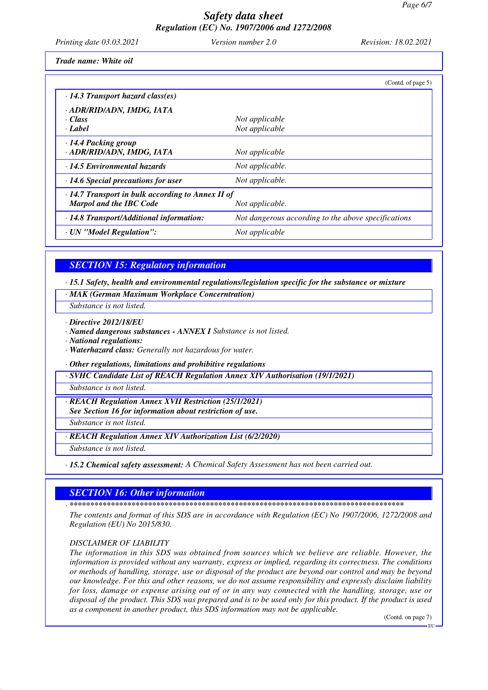Printing date 03.03.2021

Version number 2.0

Revision: 18.02.2021

Trade name: White oil

|                                                                                                              | (Contd. of page 5)                                  |  |
|--------------------------------------------------------------------------------------------------------------|-----------------------------------------------------|--|
| $\cdot$ 14.3 Transport hazard class(es)                                                                      |                                                     |  |
| · ADR/RID/ADN, IMDG, IATA                                                                                    |                                                     |  |
| · Class                                                                                                      | Not applicable                                      |  |
| · Label                                                                                                      | Not applicable                                      |  |
| $\cdot$ 14.4 Packing group<br>· ADR/RID/ADN, IMDG, IATA                                                      | Not applicable                                      |  |
| · 14.5 Environmental hazards                                                                                 | Not applicable.                                     |  |
| $\cdot$ 14.6 Special precautions for user                                                                    | Not applicable.                                     |  |
| $\cdot$ 14.7 Transport in bulk according to Annex II of<br><b>Marpol and the IBC Code</b><br>Not applicable. |                                                     |  |
| · 14.8 Transport/Additional information:                                                                     | Not dangerous according to the above specifications |  |
| · UN "Model Regulation":                                                                                     | Not applicable                                      |  |

### **SECTION 15: Regulatory information**

 $\cdot$  15.1 Safety, health and environmental regulations/legislation specific for the substance or mixture

- · MAK (German Maximum Workplace Concerntration)
- Substance is not listed.
- $\cdot$  Directive 2012/18/EU
- · Named dangerous substances ANNEX I Substance is not listed.
- · National regulations:
- · Waterhazard class: Generally not hazardous for water.
- · Other regulations, limitations and prohibitive regulations

· SVHC Candidate List of REACH Regulation Annex XIV Authorisation (19/1/2021)

Substance is not listed.

· REACH Regulation Annex XVII Restriction (25/1/2021)

See Section 16 for information about restriction of use.

Substance is not listed.

· REACH Regulation Annex XIV Authorization List (6/2/2020)

Substance is not listed.

· 15.2 Chemical safety assessment: A Chemical Safety Assessment has not been carried out.

### **SECTION 16: Other information**

The contents and format of this SDS are in accordance with Regulation (EC) No 1907/2006, 1272/2008 and Regulation (EU) No 2015/830.

#### **DISCLAIMER OF LIABILITY**

The information in this SDS was obtained from sources which we believe are reliable. However, the information is provided without any warranty, express or implied, regarding its correctness. The conditions or methods of handling, storage, use or disposal of the product are beyond our control and may be beyond our knowledge. For this and other reasons, we do not assume responsibility and expressly disclaim liability for loss, damage or expense arising out of or in any way connected with the handling, storage, use or disposal of the product. This SDS was prepared and is to be used only for this product. If the product is used as a component in another product, this SDS information may not be applicable.

(Contd. on page 7)

<sup>-</sup> FH